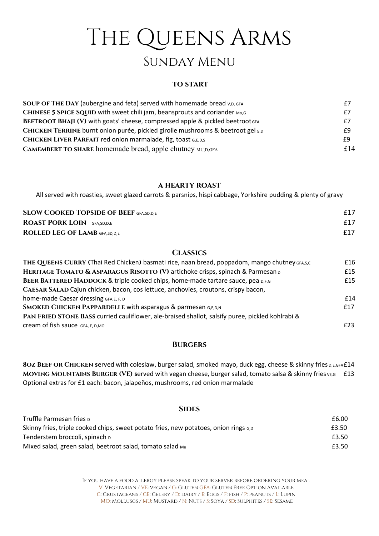# THE QUEENS ARMS Sunday Menu

## **TO START**

| SOUP OF THE DAY (aubergine and feta) served with homemade bread v, D, GFA       | £7  |
|---------------------------------------------------------------------------------|-----|
| CHINESE 5 SPICE SQUID with sweet chili jam, beansprouts and coriander Mo,G      | £7  |
| BEETROOT BHAJI (V) with goats' cheese, compressed apple & pickled beetroot GFA  | £7  |
| CHICKEN TERRINE burnt onion purée, pickled girolle mushrooms & beetroot gel G,D | £9  |
| CHICKEN LIVER PARFAIT red onion marmalade, fig, toast G,E,D,S                   | £9  |
| <b>CAMEMBERT TO SHARE homemade bread, apple chutney MU,D,GFA</b>                | £14 |

## a hearty roast

All served with roasties, sweet glazed carrots & parsnips, hispi cabbage, Yorkshire pudding & plenty of gravy

| <b>SLOW COOKED TOPSIDE OF BEEF GFA,SD,D,E</b> | f17 |
|-----------------------------------------------|-----|
| <b>ROAST PORK LOIN</b> GFA, SD, D, E          | f17 |
| <b>ROLLED LEG OF LAMB GFA, SD, D, E</b>       | f17 |

# **CLASSICS**

| THE QUEENS CURRY (Thai Red Chicken) basmati rice, naan bread, poppadom, mango chutney GFA,S,C    | £16 |
|--------------------------------------------------------------------------------------------------|-----|
| HERITAGE TOMATO & ASPARAGUS RISOTTO (V) artichoke crisps, spinach & Parmesan D                   | £15 |
| BEER BATTERED HADDOCK & triple cooked chips, home-made tartare sauce, pea D,F,G                  | £15 |
| CAESAR SALAD Cajun chicken, bacon, cos lettuce, anchovies, croutons, crispy bacon,               |     |
| home-made Caesar dressing GFA,E, F, D                                                            | f14 |
| <b>SMOKED CHICKEN PAPPARDELLE with asparagus &amp; parmesan G,E,D,N</b>                          | f17 |
| PAN FRIED STONE BASS curried cauliflower, ale-braised shallot, salsify puree, pickled kohlrabi & |     |
| Cream of fish sauce GFA, F, D, MO                                                                | £23 |

## **BURGERS**

8OZ BEEF OR CHICKEN served with coleslaw, burger salad, smoked mayo, duck egg, cheese & skinny fries D,E,GFA£14 MOVING MOUNTAINS BURGER (VE) served with vegan cheese, burger salad, tomato salsa & skinny fries VE,G £13 Optional extras for £1 each: bacon, jalapeños, mushrooms, red onion marmalade

#### **SIDES**

| Truffle Parmesan fries <sub>D</sub>                                                  | £6.00 |
|--------------------------------------------------------------------------------------|-------|
| Skinny fries, triple cooked chips, sweet potato fries, new potatoes, onion rings G,D | £3.50 |
| Tenderstem broccoli, spinach <sub>D</sub>                                            | £3.50 |
| Mixed salad, green salad, beetroot salad, tomato salad Mu                            | £3.50 |

If you have a food allergy please speak to your server before ordering your meal V: Vegetarian / VE: vegan / G: Gluten GFA: Gluten Free Option Available C: CRUSTACEANS / CE: CELERY / D: DAIRY / E: EGGS / F: FISH / P: PEANUTS / L: LUPIN MO: Molluscs / MU: Mustard / N: Nuts / S: Soya / SD: Sulphites / SE: Sesame